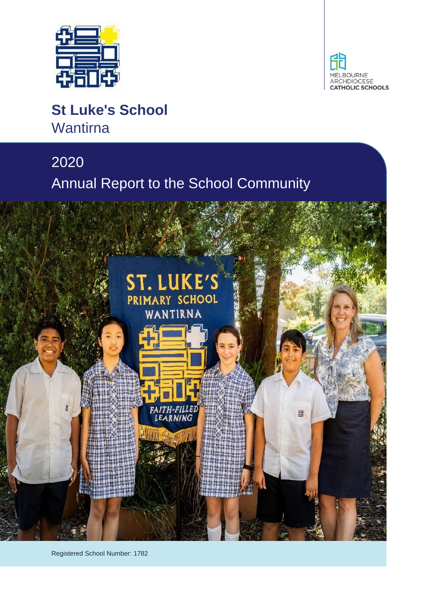



# **St Luke's School Wantirna**

# 2020 Annual Report to the School Community



Registered School Number: 1782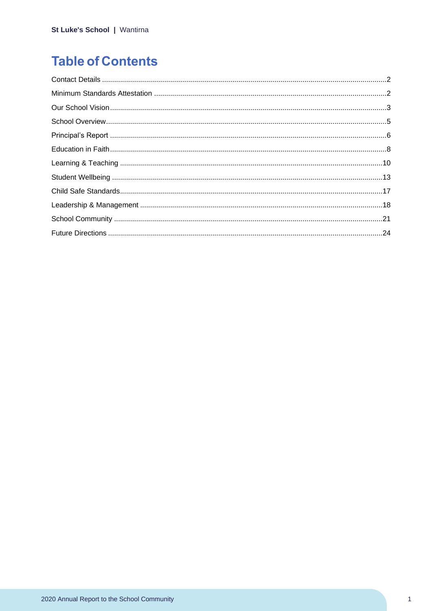# **Table of Contents**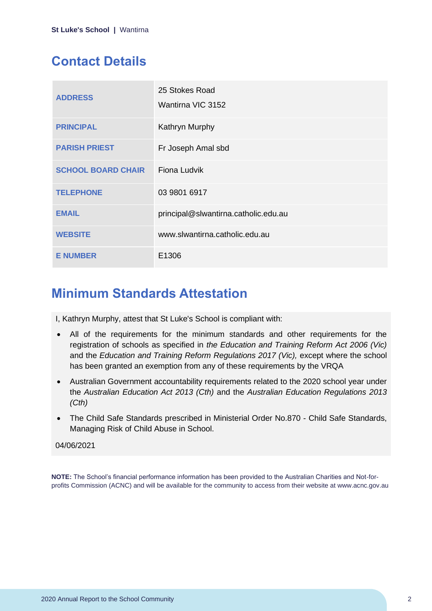## <span id="page-2-0"></span>**Contact Details**

| <b>ADDRESS</b>            | 25 Stokes Road<br>Wantirna VIC 3152  |
|---------------------------|--------------------------------------|
| <b>PRINCIPAL</b>          | Kathryn Murphy                       |
| <b>PARISH PRIEST</b>      | Fr Joseph Amal sbd                   |
| <b>SCHOOL BOARD CHAIR</b> | Fiona Ludvik                         |
| <b>TELEPHONE</b>          | 03 9801 6917                         |
| <b>EMAIL</b>              | principal@slwantirna.catholic.edu.au |
| <b>WEBSITE</b>            | www.slwantirna.catholic.edu.au       |
| <b>E NUMBER</b>           | E1306                                |

### <span id="page-2-1"></span>**Minimum Standards Attestation**

I, Kathryn Murphy, attest that St Luke's School is compliant with:

- All of the requirements for the minimum standards and other requirements for the registration of schools as specified in *the Education and Training Reform Act 2006 (Vic)* and the *Education and Training Reform Regulations 2017 (Vic),* except where the school has been granted an exemption from any of these requirements by the VRQA
- Australian Government accountability requirements related to the 2020 school year under the *Australian Education Act 2013 (Cth)* and the *Australian Education Regulations 2013 (Cth)*
- The Child Safe Standards prescribed in Ministerial Order No.870 Child Safe Standards, Managing Risk of Child Abuse in School.

#### 04/06/2021

**NOTE:** The School's financial performance information has been provided to the Australian Charities and Not-forprofits Commission (ACNC) and will be available for the community to access from their website at www.acnc.gov.au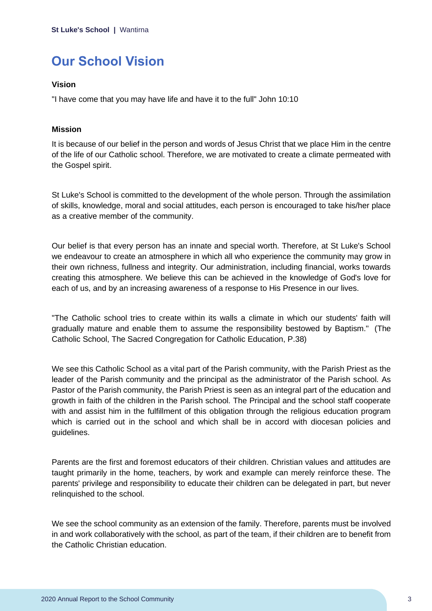# <span id="page-3-0"></span>**Our School Vision**

#### **Vision**

"I have come that you may have life and have it to the full" John 10:10

#### **Mission**

It is because of our belief in the person and words of Jesus Christ that we place Him in the centre of the life of our Catholic school. Therefore, we are motivated to create a climate permeated with the Gospel spirit.

St Luke's School is committed to the development of the whole person. Through the assimilation of skills, knowledge, moral and social attitudes, each person is encouraged to take his/her place as a creative member of the community.

Our belief is that every person has an innate and special worth. Therefore, at St Luke's School we endeavour to create an atmosphere in which all who experience the community may grow in their own richness, fullness and integrity. Our administration, including financial, works towards creating this atmosphere. We believe this can be achieved in the knowledge of God's love for each of us, and by an increasing awareness of a response to His Presence in our lives.

"The Catholic school tries to create within its walls a climate in which our students' faith will gradually mature and enable them to assume the responsibility bestowed by Baptism." (The Catholic School, The Sacred Congregation for Catholic Education, P.38)

We see this Catholic School as a vital part of the Parish community, with the Parish Priest as the leader of the Parish community and the principal as the administrator of the Parish school. As Pastor of the Parish community, the Parish Priest is seen as an integral part of the education and growth in faith of the children in the Parish school. The Principal and the school staff cooperate with and assist him in the fulfillment of this obligation through the religious education program which is carried out in the school and which shall be in accord with diocesan policies and guidelines.

Parents are the first and foremost educators of their children. Christian values and attitudes are taught primarily in the home, teachers, by work and example can merely reinforce these. The parents' privilege and responsibility to educate their children can be delegated in part, but never relinquished to the school.

We see the school community as an extension of the family. Therefore, parents must be involved in and work collaboratively with the school, as part of the team, if their children are to benefit from the Catholic Christian education.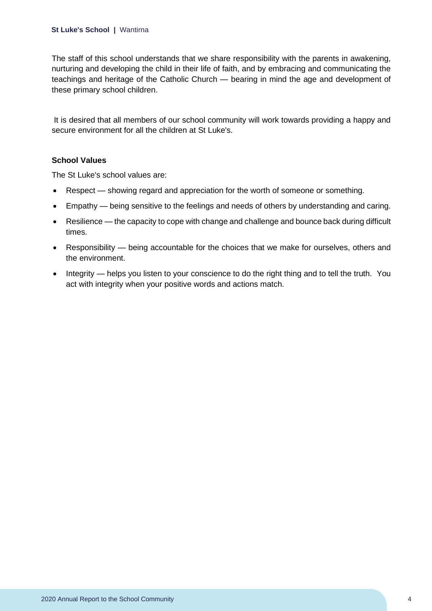The staff of this school understands that we share responsibility with the parents in awakening, nurturing and developing the child in their life of faith, and by embracing and communicating the teachings and heritage of the Catholic Church — bearing in mind the age and development of these primary school children.

It is desired that all members of our school community will work towards providing a happy and secure environment for all the children at St Luke's.

#### **School Values**

The St Luke's school values are:

- Respect showing regard and appreciation for the worth of someone or something.
- Empathy being sensitive to the feelings and needs of others by understanding and caring.
- Resilience the capacity to cope with change and challenge and bounce back during difficult times.
- Responsibility being accountable for the choices that we make for ourselves, others and the environment.
- Integrity helps you listen to your conscience to do the right thing and to tell the truth. You act with integrity when your positive words and actions match.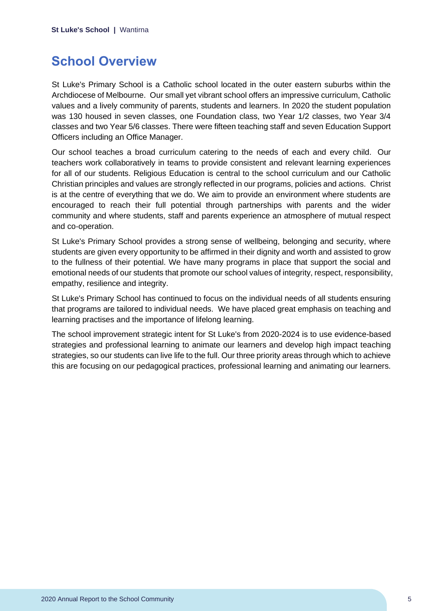### <span id="page-5-0"></span>**School Overview**

St Luke's Primary School is a Catholic school located in the outer eastern suburbs within the Archdiocese of Melbourne. Our small yet vibrant school offers an impressive curriculum, Catholic values and a lively community of parents, students and learners. In 2020 the student population was 130 housed in seven classes, one Foundation class, two Year 1/2 classes, two Year 3/4 classes and two Year 5/6 classes. There were fifteen teaching staff and seven Education Support Officers including an Office Manager.

Our school teaches a broad curriculum catering to the needs of each and every child. Our teachers work collaboratively in teams to provide consistent and relevant learning experiences for all of our students. Religious Education is central to the school curriculum and our Catholic Christian principles and values are strongly reflected in our programs, policies and actions. Christ is at the centre of everything that we do. We aim to provide an environment where students are encouraged to reach their full potential through partnerships with parents and the wider community and where students, staff and parents experience an atmosphere of mutual respect and co‐operation.

St Luke's Primary School provides a strong sense of wellbeing, belonging and security, where students are given every opportunity to be affirmed in their dignity and worth and assisted to grow to the fullness of their potential. We have many programs in place that support the social and emotional needs of our students that promote our school values of integrity, respect, responsibility, empathy, resilience and integrity.

St Luke's Primary School has continued to focus on the individual needs of all students ensuring that programs are tailored to individual needs. We have placed great emphasis on teaching and learning practises and the importance of lifelong learning.

The school improvement strategic intent for St Luke's from 2020-2024 is to use evidence-based strategies and professional learning to animate our learners and develop high impact teaching strategies, so our students can live life to the full. Our three priority areas through which to achieve this are focusing on our pedagogical practices, professional learning and animating our learners.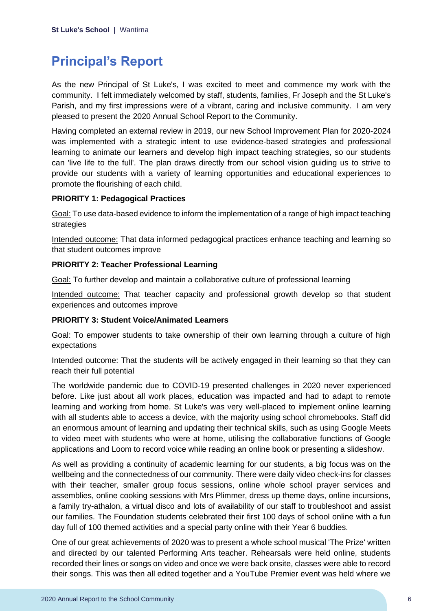### <span id="page-6-0"></span>**Principal's Report**

As the new Principal of St Luke's, I was excited to meet and commence my work with the community. I felt immediately welcomed by staff, students, families, Fr Joseph and the St Luke's Parish, and my first impressions were of a vibrant, caring and inclusive community. I am very pleased to present the 2020 Annual School Report to the Community.

Having completed an external review in 2019, our new School Improvement Plan for 2020-2024 was implemented with a strategic intent to use evidence-based strategies and professional learning to animate our learners and develop high impact teaching strategies, so our students can 'live life to the full'. The plan draws directly from our school vision guiding us to strive to provide our students with a variety of learning opportunities and educational experiences to promote the flourishing of each child.

#### **PRIORITY 1: Pedagogical Practices**

Goal: To use data-based evidence to inform the implementation of a range of high impact teaching strategies

Intended outcome: That data informed pedagogical practices enhance teaching and learning so that student outcomes improve

#### **PRIORITY 2: Teacher Professional Learning**

Goal: To further develop and maintain a collaborative culture of professional learning

Intended outcome: That teacher capacity and professional growth develop so that student experiences and outcomes improve

#### **PRIORITY 3: Student Voice/Animated Learners**

Goal: To empower students to take ownership of their own learning through a culture of high expectations

Intended outcome: That the students will be actively engaged in their learning so that they can reach their full potential

The worldwide pandemic due to COVID-19 presented challenges in 2020 never experienced before. Like just about all work places, education was impacted and had to adapt to remote learning and working from home. St Luke's was very well-placed to implement online learning with all students able to access a device, with the majority using school chromebooks. Staff did an enormous amount of learning and updating their technical skills, such as using Google Meets to video meet with students who were at home, utilising the collaborative functions of Google applications and Loom to record voice while reading an online book or presenting a slideshow.

As well as providing a continuity of academic learning for our students, a big focus was on the wellbeing and the connectedness of our community. There were daily video check-ins for classes with their teacher, smaller group focus sessions, online whole school prayer services and assemblies, online cooking sessions with Mrs Plimmer, dress up theme days, online incursions, a family try-athalon, a virtual disco and lots of availability of our staff to troubleshoot and assist our families. The Foundation students celebrated their first 100 days of school online with a fun day full of 100 themed activities and a special party online with their Year 6 buddies.

One of our great achievements of 2020 was to present a whole school musical 'The Prize' written and directed by our talented Performing Arts teacher. Rehearsals were held online, students recorded their lines or songs on video and once we were back onsite, classes were able to record their songs. This was then all edited together and a YouTube Premier event was held where we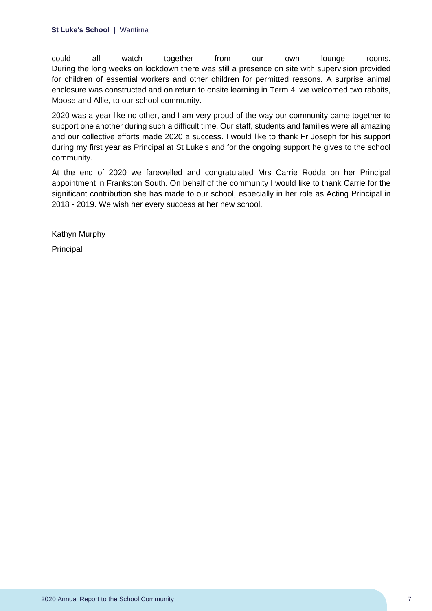could all watch together from our own lounge rooms. During the long weeks on lockdown there was still a presence on site with supervision provided for children of essential workers and other children for permitted reasons. A surprise animal enclosure was constructed and on return to onsite learning in Term 4, we welcomed two rabbits, Moose and Allie, to our school community.

2020 was a year like no other, and I am very proud of the way our community came together to support one another during such a difficult time. Our staff, students and families were all amazing and our collective efforts made 2020 a success. I would like to thank Fr Joseph for his support during my first year as Principal at St Luke's and for the ongoing support he gives to the school community.

At the end of 2020 we farewelled and congratulated Mrs Carrie Rodda on her Principal appointment in Frankston South. On behalf of the community I would like to thank Carrie for the significant contribution she has made to our school, especially in her role as Acting Principal in 2018 - 2019. We wish her every success at her new school.

Kathyn Murphy

Principal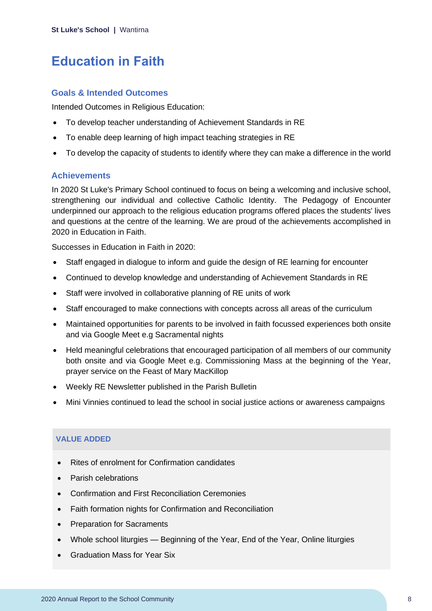### <span id="page-8-0"></span>**Education in Faith**

#### **Goals & Intended Outcomes**

Intended Outcomes in Religious Education:

- To develop teacher understanding of Achievement Standards in RE
- To enable deep learning of high impact teaching strategies in RE
- To develop the capacity of students to identify where they can make a difference in the world

#### **Achievements**

In 2020 St Luke's Primary School continued to focus on being a welcoming and inclusive school, strengthening our individual and collective Catholic Identity. The Pedagogy of Encounter underpinned our approach to the religious education programs offered places the students' lives and questions at the centre of the learning. We are proud of the achievements accomplished in 2020 in Education in Faith.

Successes in Education in Faith in 2020:

- Staff engaged in dialogue to inform and guide the design of RE learning for encounter
- Continued to develop knowledge and understanding of Achievement Standards in RE
- Staff were involved in collaborative planning of RE units of work
- Staff encouraged to make connections with concepts across all areas of the curriculum
- Maintained opportunities for parents to be involved in faith focussed experiences both onsite and via Google Meet e.g Sacramental nights
- Held meaningful celebrations that encouraged participation of all members of our community both onsite and via Google Meet e.g. Commissioning Mass at the beginning of the Year, prayer service on the Feast of Mary MacKillop
- Weekly RE Newsletter published in the Parish Bulletin
- Mini Vinnies continued to lead the school in social justice actions or awareness campaigns

#### **VALUE ADDED**

- Rites of enrolment for Confirmation candidates
- Parish celebrations
- Confirmation and First Reconciliation Ceremonies
- Faith formation nights for Confirmation and Reconciliation
- Preparation for Sacraments
- Whole school liturgies Beginning of the Year, End of the Year, Online liturgies
- Graduation Mass for Year Six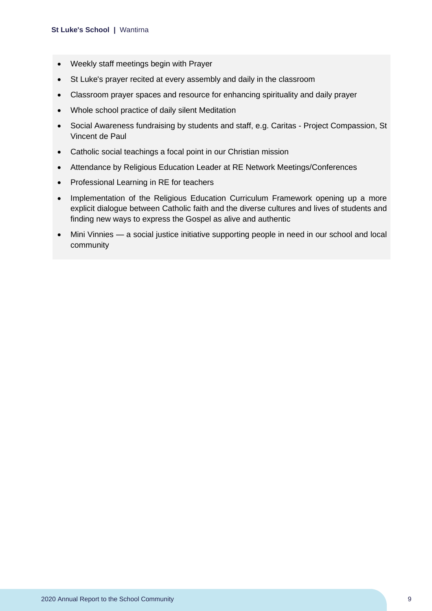- Weekly staff meetings begin with Prayer
- St Luke's prayer recited at every assembly and daily in the classroom
- Classroom prayer spaces and resource for enhancing spirituality and daily prayer
- Whole school practice of daily silent Meditation
- Social Awareness fundraising by students and staff, e.g. Caritas Project Compassion, St Vincent de Paul
- Catholic social teachings a focal point in our Christian mission
- Attendance by Religious Education Leader at RE Network Meetings/Conferences
- Professional Learning in RE for teachers
- Implementation of the Religious Education Curriculum Framework opening up a more explicit dialogue between Catholic faith and the diverse cultures and lives of students and finding new ways to express the Gospel as alive and authentic
- Mini Vinnies a social justice initiative supporting people in need in our school and local community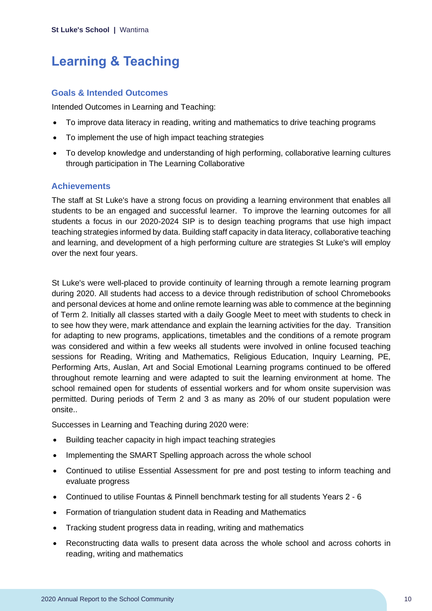## <span id="page-10-0"></span>**Learning & Teaching**

#### **Goals & Intended Outcomes**

Intended Outcomes in Learning and Teaching:

- To improve data literacy in reading, writing and mathematics to drive teaching programs
- To implement the use of high impact teaching strategies
- To develop knowledge and understanding of high performing, collaborative learning cultures through participation in The Learning Collaborative

#### **Achievements**

The staff at St Luke's have a strong focus on providing a learning environment that enables all students to be an engaged and successful learner. To improve the learning outcomes for all students a focus in our 2020-2024 SIP is to design teaching programs that use high impact teaching strategies informed by data. Building staff capacity in data literacy, collaborative teaching and learning, and development of a high performing culture are strategies St Luke's will employ over the next four years.

St Luke's were well-placed to provide continuity of learning through a remote learning program during 2020. All students had access to a device through redistribution of school Chromebooks and personal devices at home and online remote learning was able to commence at the beginning of Term 2. Initially all classes started with a daily Google Meet to meet with students to check in to see how they were, mark attendance and explain the learning activities for the day. Transition for adapting to new programs, applications, timetables and the conditions of a remote program was considered and within a few weeks all students were involved in online focused teaching sessions for Reading, Writing and Mathematics, Religious Education, Inquiry Learning, PE, Performing Arts, Auslan, Art and Social Emotional Learning programs continued to be offered throughout remote learning and were adapted to suit the learning environment at home. The school remained open for students of essential workers and for whom onsite supervision was permitted. During periods of Term 2 and 3 as many as 20% of our student population were onsite..

Successes in Learning and Teaching during 2020 were:

- Building teacher capacity in high impact teaching strategies
- Implementing the SMART Spelling approach across the whole school
- Continued to utilise Essential Assessment for pre and post testing to inform teaching and evaluate progress
- Continued to utilise Fountas & Pinnell benchmark testing for all students Years 2 6
- Formation of triangulation student data in Reading and Mathematics
- Tracking student progress data in reading, writing and mathematics
- Reconstructing data walls to present data across the whole school and across cohorts in reading, writing and mathematics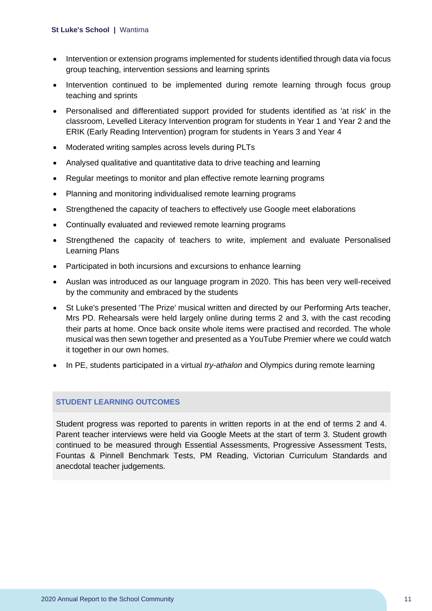- Intervention or extension programs implemented for students identified through data via focus group teaching, intervention sessions and learning sprints
- Intervention continued to be implemented during remote learning through focus group teaching and sprints
- Personalised and differentiated support provided for students identified as 'at risk' in the classroom, Levelled Literacy Intervention program for students in Year 1 and Year 2 and the ERIK (Early Reading Intervention) program for students in Years 3 and Year 4
- Moderated writing samples across levels during PLTs
- Analysed qualitative and quantitative data to drive teaching and learning
- Regular meetings to monitor and plan effective remote learning programs
- Planning and monitoring individualised remote learning programs
- Strengthened the capacity of teachers to effectively use Google meet elaborations
- Continually evaluated and reviewed remote learning programs
- Strengthened the capacity of teachers to write, implement and evaluate Personalised Learning Plans
- Participated in both incursions and excursions to enhance learning
- Auslan was introduced as our language program in 2020. This has been very well-received by the community and embraced by the students
- St Luke's presented 'The Prize' musical written and directed by our Performing Arts teacher, Mrs PD. Rehearsals were held largely online during terms 2 and 3, with the cast recoding their parts at home. Once back onsite whole items were practised and recorded. The whole musical was then sewn together and presented as a YouTube Premier where we could watch it together in our own homes.
- In PE, students participated in a virtual *try-athalon* and Olympics during remote learning

#### **STUDENT LEARNING OUTCOMES**

Student progress was reported to parents in written reports in at the end of terms 2 and 4. Parent teacher interviews were held via Google Meets at the start of term 3. Student growth continued to be measured through Essential Assessments, Progressive Assessment Tests, Fountas & Pinnell Benchmark Tests, PM Reading, Victorian Curriculum Standards and anecdotal teacher judgements.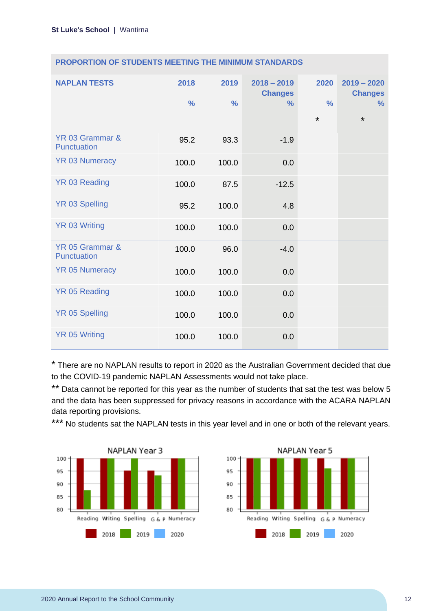| <b>NAPLAN TESTS</b>            | 2018<br>$\frac{9}{6}$ | 2019<br>$\frac{0}{0}$ | $2018 - 2019$<br><b>Changes</b><br>$\frac{9}{6}$ | 2020<br>$\frac{0}{0}$<br>$\star$ | $2019 - 2020$<br><b>Changes</b><br>$\%$<br>$\star$ |
|--------------------------------|-----------------------|-----------------------|--------------------------------------------------|----------------------------------|----------------------------------------------------|
| YR 03 Grammar &<br>Punctuation | 95.2                  | 93.3                  | $-1.9$                                           |                                  |                                                    |
| <b>YR 03 Numeracy</b>          | 100.0                 | 100.0                 | 0.0                                              |                                  |                                                    |
| <b>YR 03 Reading</b>           | 100.0                 | 87.5                  | $-12.5$                                          |                                  |                                                    |
| <b>YR 03 Spelling</b>          | 95.2                  | 100.0                 | 4.8                                              |                                  |                                                    |
| <b>YR 03 Writing</b>           | 100.0                 | 100.0                 | 0.0                                              |                                  |                                                    |
| YR 05 Grammar &<br>Punctuation | 100.0                 | 96.0                  | $-4.0$                                           |                                  |                                                    |
| <b>YR 05 Numeracy</b>          | 100.0                 | 100.0                 | 0.0                                              |                                  |                                                    |
| YR 05 Reading                  | 100.0                 | 100.0                 | 0.0                                              |                                  |                                                    |
| <b>YR 05 Spelling</b>          | 100.0                 | 100.0                 | 0.0                                              |                                  |                                                    |
| <b>YR 05 Writing</b>           | 100.0                 | 100.0                 | 0.0                                              |                                  |                                                    |

\* There are no NAPLAN results to report in 2020 as the Australian Government decided that due to the COVID-19 pandemic NAPLAN Assessments would not take place.

\*\* Data cannot be reported for this year as the number of students that sat the test was below 5 and the data has been suppressed for privacy reasons in accordance with the ACARA NAPLAN data reporting provisions.

\*\*\* No students sat the NAPLAN tests in this year level and in one or both of the relevant years.



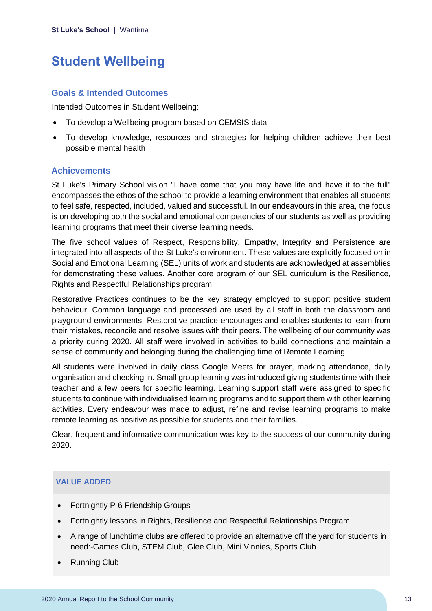## <span id="page-13-0"></span>**Student Wellbeing**

#### **Goals & Intended Outcomes**

Intended Outcomes in Student Wellbeing:

- To develop a Wellbeing program based on CEMSIS data
- To develop knowledge, resources and strategies for helping children achieve their best possible mental health

#### **Achievements**

St Luke's Primary School vision "I have come that you may have life and have it to the full" encompasses the ethos of the school to provide a learning environment that enables all students to feel safe, respected, included, valued and successful. In our endeavours in this area, the focus is on developing both the social and emotional competencies of our students as well as providing learning programs that meet their diverse learning needs.

The five school values of Respect, Responsibility, Empathy, Integrity and Persistence are integrated into all aspects of the St Luke's environment. These values are explicitly focused on in Social and Emotional Learning (SEL) units of work and students are acknowledged at assemblies for demonstrating these values. Another core program of our SEL curriculum is the Resilience, Rights and Respectful Relationships program.

Restorative Practices continues to be the key strategy employed to support positive student behaviour. Common language and processed are used by all staff in both the classroom and playground environments. Restorative practice encourages and enables students to learn from their mistakes, reconcile and resolve issues with their peers. The wellbeing of our community was a priority during 2020. All staff were involved in activities to build connections and maintain a sense of community and belonging during the challenging time of Remote Learning.

All students were involved in daily class Google Meets for prayer, marking attendance, daily organisation and checking in. Small group learning was introduced giving students time with their teacher and a few peers for specific learning. Learning support staff were assigned to specific students to continue with individualised learning programs and to support them with other learning activities. Every endeavour was made to adjust, refine and revise learning programs to make remote learning as positive as possible for students and their families.

Clear, frequent and informative communication was key to the success of our community during 2020.

#### **VALUE ADDED**

- Fortnightly P-6 Friendship Groups
- Fortnightly lessons in Rights, Resilience and Respectful Relationships Program
- A range of lunchtime clubs are offered to provide an alternative off the yard for students in need:-Games Club, STEM Club, Glee Club, Mini Vinnies, Sports Club
- Running Club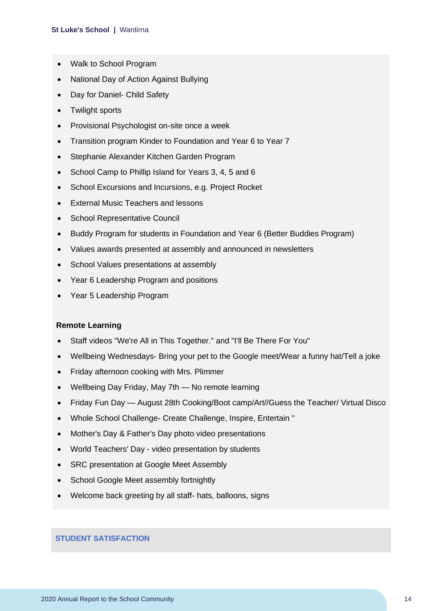- Walk to School Program
- National Day of Action Against Bullying
- Day for Daniel- Child Safety
- Twilight sports
- Provisional Psychologist on-site once a week
- Transition program Kinder to Foundation and Year 6 to Year 7
- Stephanie Alexander Kitchen Garden Program
- School Camp to Phillip Island for Years 3, 4, 5 and 6
- School Excursions and Incursions, e.g. Project Rocket
- External Music Teachers and lessons
- School Representative Council
- Buddy Program for students in Foundation and Year 6 (Better Buddies Program)
- Values awards presented at assembly and announced in newsletters
- School Values presentations at assembly
- Year 6 Leadership Program and positions
- Year 5 Leadership Program

#### **Remote Learning**

- Staff videos "We're All in This Together." and "I'll Be There For You"
- Wellbeing Wednesdays- Bring your pet to the Google meet/Wear a funny hat/Tell a joke
- Friday afternoon cooking with Mrs. Plimmer
- Wellbeing Day Friday, May 7th No remote learning
- Friday Fun Day August 28th Cooking/Boot camp/Art//Guess the Teacher/ Virtual Disco
- Whole School Challenge- Create Challenge, Inspire, Entertain "
- Mother's Day & Father's Day photo video presentations
- World Teachers' Day video presentation by students
- SRC presentation at Google Meet Assembly
- School Google Meet assembly fortnightly
- Welcome back greeting by all staff- hats, balloons, signs

#### **STUDENT SATISFACTION**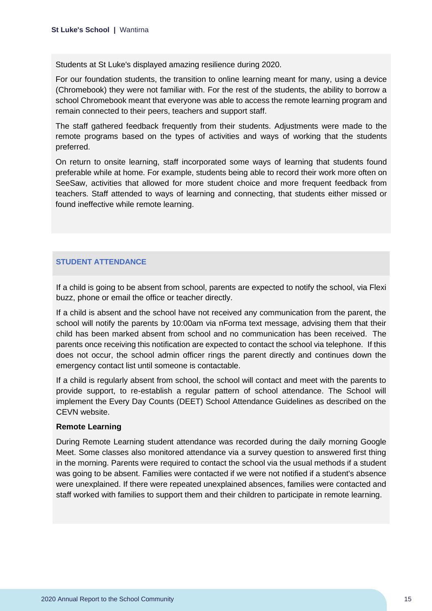Students at St Luke's displayed amazing resilience during 2020.

For our foundation students, the transition to online learning meant for many, using a device (Chromebook) they were not familiar with. For the rest of the students, the ability to borrow a school Chromebook meant that everyone was able to access the remote learning program and remain connected to their peers, teachers and support staff.

The staff gathered feedback frequently from their students. Adjustments were made to the remote programs based on the types of activities and ways of working that the students preferred.

On return to onsite learning, staff incorporated some ways of learning that students found preferable while at home. For example, students being able to record their work more often on SeeSaw, activities that allowed for more student choice and more frequent feedback from teachers. Staff attended to ways of learning and connecting, that students either missed or found ineffective while remote learning.

#### **STUDENT ATTENDANCE**

If a child is going to be absent from school, parents are expected to notify the school, via Flexi buzz, phone or email the office or teacher directly.

If a child is absent and the school have not received any communication from the parent, the school will notify the parents by 10:00am via nForma text message, advising them that their child has been marked absent from school and no communication has been received. The parents once receiving this notification are expected to contact the school via telephone. If this does not occur, the school admin officer rings the parent directly and continues down the emergency contact list until someone is contactable.

If a child is regularly absent from school, the school will contact and meet with the parents to provide support, to re-establish a regular pattern of school attendance. The School will implement the Every Day Counts (DEET) School Attendance Guidelines as described on the CEVN website.

#### **Remote Learning**

During Remote Learning student attendance was recorded during the daily morning Google Meet. Some classes also monitored attendance via a survey question to answered first thing in the morning. Parents were required to contact the school via the usual methods if a student was going to be absent. Families were contacted if we were not notified if a student's absence were unexplained. If there were repeated unexplained absences, families were contacted and staff worked with families to support them and their children to participate in remote learning.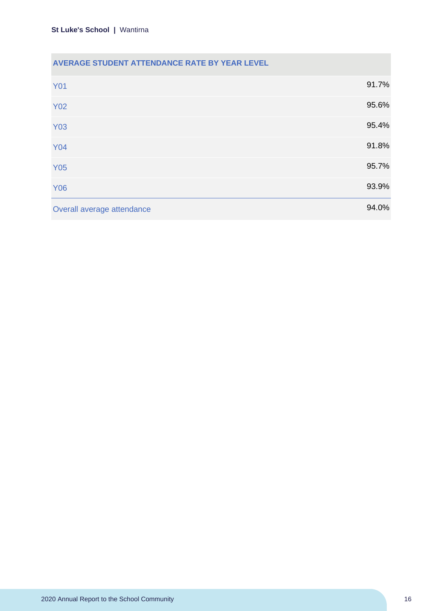#### **AVERAGE STUDENT ATTENDANCE RATE BY YEAR LEVEL**

| <b>Y01</b>                 | 91.7% |
|----------------------------|-------|
| <b>Y02</b>                 | 95.6% |
| <b>Y03</b>                 | 95.4% |
| <b>Y04</b>                 | 91.8% |
| <b>Y05</b>                 | 95.7% |
| <b>Y06</b>                 | 93.9% |
| Overall average attendance | 94.0% |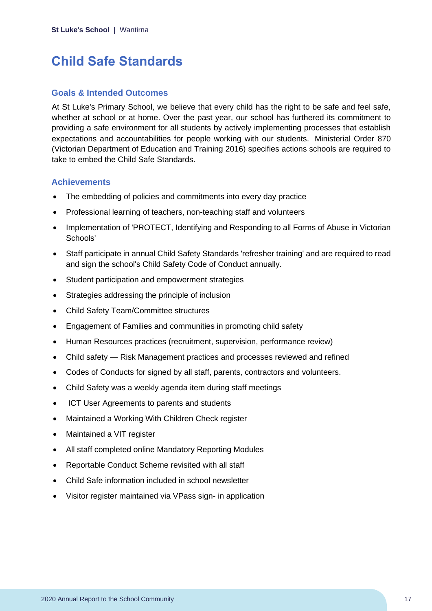## <span id="page-17-0"></span>**Child Safe Standards**

#### **Goals & Intended Outcomes**

At St Luke's Primary School, we believe that every child has the right to be safe and feel safe, whether at school or at home. Over the past year, our school has furthered its commitment to providing a safe environment for all students by actively implementing processes that establish expectations and accountabilities for people working with our students. Ministerial Order 870 (Victorian Department of Education and Training 2016) specifies actions schools are required to take to embed the Child Safe Standards.

#### **Achievements**

- The embedding of policies and commitments into every day practice
- Professional learning of teachers, non-teaching staff and volunteers
- Implementation of 'PROTECT, Identifying and Responding to all Forms of Abuse in Victorian Schools'
- Staff participate in annual Child Safety Standards 'refresher training' and are required to read and sign the school's Child Safety Code of Conduct annually.
- Student participation and empowerment strategies
- Strategies addressing the principle of inclusion
- Child Safety Team/Committee structures
- Engagement of Families and communities in promoting child safety
- Human Resources practices (recruitment, supervision, performance review)
- Child safety Risk Management practices and processes reviewed and refined
- Codes of Conducts for signed by all staff, parents, contractors and volunteers.
- Child Safety was a weekly agenda item during staff meetings
- ICT User Agreements to parents and students
- Maintained a Working With Children Check register
- Maintained a VIT register
- All staff completed online Mandatory Reporting Modules
- Reportable Conduct Scheme revisited with all staff
- Child Safe information included in school newsletter
- Visitor register maintained via VPass sign- in application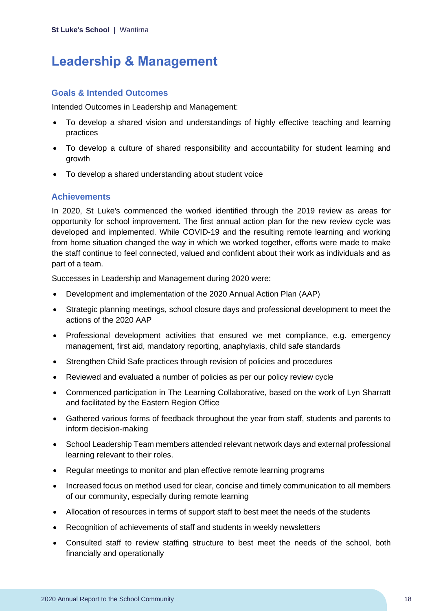## <span id="page-18-0"></span>**Leadership & Management**

#### **Goals & Intended Outcomes**

Intended Outcomes in Leadership and Management:

- To develop a shared vision and understandings of highly effective teaching and learning practices
- To develop a culture of shared responsibility and accountability for student learning and growth
- To develop a shared understanding about student voice

#### **Achievements**

In 2020, St Luke's commenced the worked identified through the 2019 review as areas for opportunity for school improvement. The first annual action plan for the new review cycle was developed and implemented. While COVID-19 and the resulting remote learning and working from home situation changed the way in which we worked together, efforts were made to make the staff continue to feel connected, valued and confident about their work as individuals and as part of a team.

Successes in Leadership and Management during 2020 were:

- Development and implementation of the 2020 Annual Action Plan (AAP)
- Strategic planning meetings, school closure days and professional development to meet the actions of the 2020 AAP
- Professional development activities that ensured we met compliance, e.g. emergency management, first aid, mandatory reporting, anaphylaxis, child safe standards
- Strengthen Child Safe practices through revision of policies and procedures
- Reviewed and evaluated a number of policies as per our policy review cycle
- Commenced participation in The Learning Collaborative, based on the work of Lyn Sharratt and facilitated by the Eastern Region Office
- Gathered various forms of feedback throughout the year from staff, students and parents to inform decision-making
- School Leadership Team members attended relevant network days and external professional learning relevant to their roles.
- Regular meetings to monitor and plan effective remote learning programs
- Increased focus on method used for clear, concise and timely communication to all members of our community, especially during remote learning
- Allocation of resources in terms of support staff to best meet the needs of the students
- Recognition of achievements of staff and students in weekly newsletters
- Consulted staff to review staffing structure to best meet the needs of the school, both financially and operationally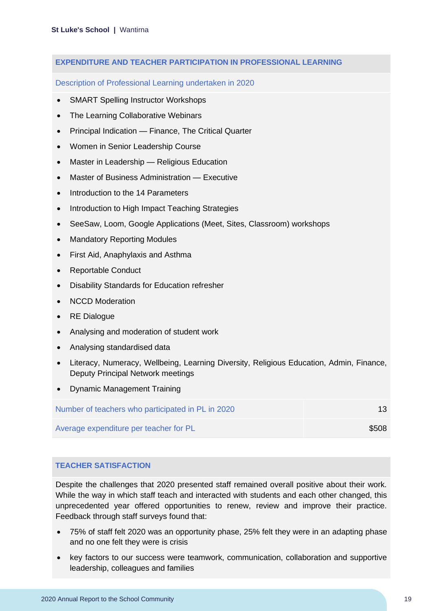#### **EXPENDITURE AND TEACHER PARTICIPATION IN PROFESSIONAL LEARNING**

Description of Professional Learning undertaken in 2020

- **SMART Spelling Instructor Workshops**
- The Learning Collaborative Webinars
- Principal Indication Finance, The Critical Quarter
- Women in Senior Leadership Course
- Master in Leadership Religious Education
- Master of Business Administration Executive
- Introduction to the 14 Parameters
- Introduction to High Impact Teaching Strategies
- SeeSaw, Loom, Google Applications (Meet, Sites, Classroom) workshops
- Mandatory Reporting Modules
- First Aid, Anaphylaxis and Asthma
- Reportable Conduct
- Disability Standards for Education refresher
- NCCD Moderation
- RE Dialogue
- Analysing and moderation of student work
- Analysing standardised data
- Literacy, Numeracy, Wellbeing, Learning Diversity, Religious Education, Admin, Finance, Deputy Principal Network meetings
- Dynamic Management Training

Number of teachers who participated in PL in 2020 13

Average expenditure per teacher for PL  $$508$ 

#### **TEACHER SATISFACTION**

Despite the challenges that 2020 presented staff remained overall positive about their work. While the way in which staff teach and interacted with students and each other changed, this unprecedented year offered opportunities to renew, review and improve their practice. Feedback through staff surveys found that:

- 75% of staff felt 2020 was an opportunity phase, 25% felt they were in an adapting phase and no one felt they were is crisis
- key factors to our success were teamwork, communication, collaboration and supportive leadership, colleagues and families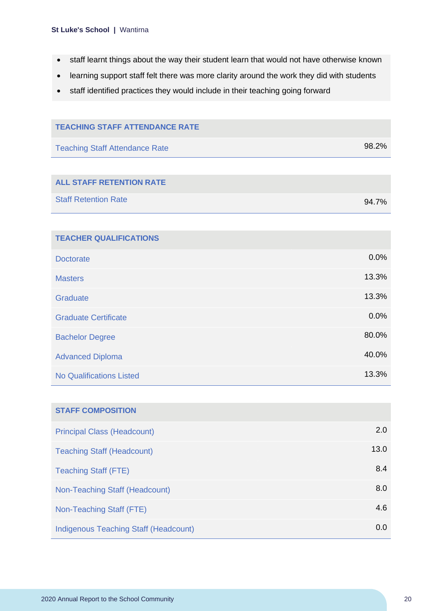- staff learnt things about the way their student learn that would not have otherwise known
- learning support staff felt there was more clarity around the work they did with students
- staff identified practices they would include in their teaching going forward

| <b>TEACHING STAFF ATTENDANCE RATE</b>        |       |
|----------------------------------------------|-------|
|                                              |       |
| <b>Teaching Staff Attendance Rate</b>        | 98.2% |
|                                              |       |
| <b>ALL STAFF RETENTION RATE</b>              |       |
| <b>Staff Retention Rate</b>                  | 94.7% |
|                                              |       |
| <b>TEACHER QUALIFICATIONS</b>                |       |
| <b>Doctorate</b>                             | 0.0%  |
| <b>Masters</b>                               | 13.3% |
| Graduate                                     | 13.3% |
| <b>Graduate Certificate</b>                  | 0.0%  |
| <b>Bachelor Degree</b>                       | 80.0% |
| <b>Advanced Diploma</b>                      | 40.0% |
| <b>No Qualifications Listed</b>              | 13.3% |
|                                              |       |
| <b>STAFF COMPOSITION</b>                     |       |
| <b>Principal Class (Headcount)</b>           | 2.0   |
| <b>Teaching Staff (Headcount)</b>            | 13.0  |
| <b>Teaching Staff (FTE)</b>                  | 8.4   |
| Non-Teaching Staff (Headcount)               | 8.0   |
| Non-Teaching Staff (FTE)                     | 4.6   |
| <b>Indigenous Teaching Staff (Headcount)</b> | 0.0   |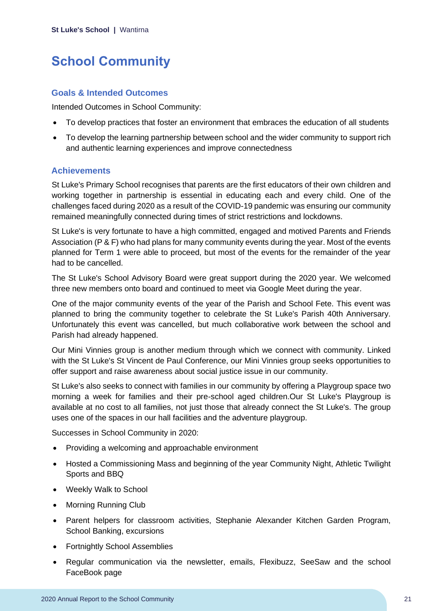# <span id="page-21-0"></span>**School Community**

#### **Goals & Intended Outcomes**

Intended Outcomes in School Community:

- To develop practices that foster an environment that embraces the education of all students
- To develop the learning partnership between school and the wider community to support rich and authentic learning experiences and improve connectedness

#### **Achievements**

St Luke's Primary School recognises that parents are the first educators of their own children and working together in partnership is essential in educating each and every child. One of the challenges faced during 2020 as a result of the COVID-19 pandemic was ensuring our community remained meaningfully connected during times of strict restrictions and lockdowns.

St Luke's is very fortunate to have a high committed, engaged and motived Parents and Friends Association (P & F) who had plans for many community events during the year. Most of the events planned for Term 1 were able to proceed, but most of the events for the remainder of the year had to be cancelled.

The St Luke's School Advisory Board were great support during the 2020 year. We welcomed three new members onto board and continued to meet via Google Meet during the year.

One of the major community events of the year of the Parish and School Fete. This event was planned to bring the community together to celebrate the St Luke's Parish 40th Anniversary. Unfortunately this event was cancelled, but much collaborative work between the school and Parish had already happened.

Our Mini Vinnies group is another medium through which we connect with community. Linked with the St Luke's St Vincent de Paul Conference, our Mini Vinnies group seeks opportunities to offer support and raise awareness about social justice issue in our community.

St Luke's also seeks to connect with families in our community by offering a Playgroup space two morning a week for families and their pre-school aged children.Our St Luke's Playgroup is available at no cost to all families, not just those that already connect the St Luke's. The group uses one of the spaces in our hall facilities and the adventure playgroup.

Successes in School Community in 2020:

- Providing a welcoming and approachable environment
- Hosted a Commissioning Mass and beginning of the year Community Night, Athletic Twilight Sports and BBQ
- Weekly Walk to School
- Morning Running Club
- Parent helpers for classroom activities, Stephanie Alexander Kitchen Garden Program, School Banking, excursions
- Fortnightly School Assemblies
- Regular communication via the newsletter, emails, Flexibuzz, SeeSaw and the school FaceBook page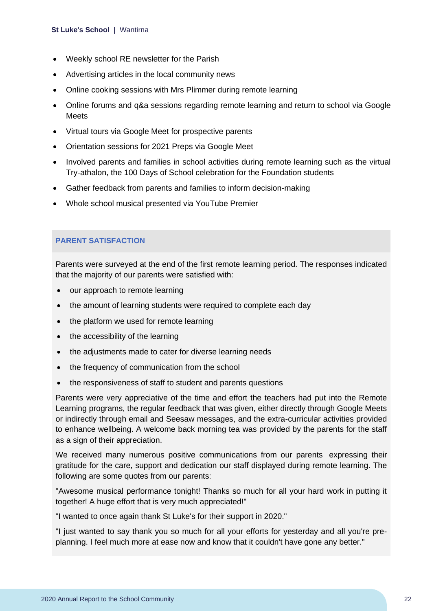- Weekly school RE newsletter for the Parish
- Advertising articles in the local community news
- Online cooking sessions with Mrs Plimmer during remote learning
- Online forums and q&a sessions regarding remote learning and return to school via Google **Meets**
- Virtual tours via Google Meet for prospective parents
- Orientation sessions for 2021 Preps via Google Meet
- Involved parents and families in school activities during remote learning such as the virtual Try-athalon, the 100 Days of School celebration for the Foundation students
- Gather feedback from parents and families to inform decision-making
- Whole school musical presented via YouTube Premier

#### **PARENT SATISFACTION**

Parents were surveyed at the end of the first remote learning period. The responses indicated that the majority of our parents were satisfied with:

- our approach to remote learning
- the amount of learning students were required to complete each day
- the platform we used for remote learning
- the accessibility of the learning
- the adjustments made to cater for diverse learning needs
- the frequency of communication from the school
- the responsiveness of staff to student and parents questions

Parents were very appreciative of the time and effort the teachers had put into the Remote Learning programs, the regular feedback that was given, either directly through Google Meets or indirectly through email and Seesaw messages, and the extra-curricular activities provided to enhance wellbeing. A welcome back morning tea was provided by the parents for the staff as a sign of their appreciation.

We received many numerous positive communications from our parents expressing their gratitude for the care, support and dedication our staff displayed during remote learning. The following are some quotes from our parents:

"Awesome musical performance tonight! Thanks so much for all your hard work in putting it together! A huge effort that is very much appreciated!"

"I wanted to once again thank St Luke's for their support in 2020."

"I just wanted to say thank you so much for all your efforts for yesterday and all you're preplanning. I feel much more at ease now and know that it couldn't have gone any better."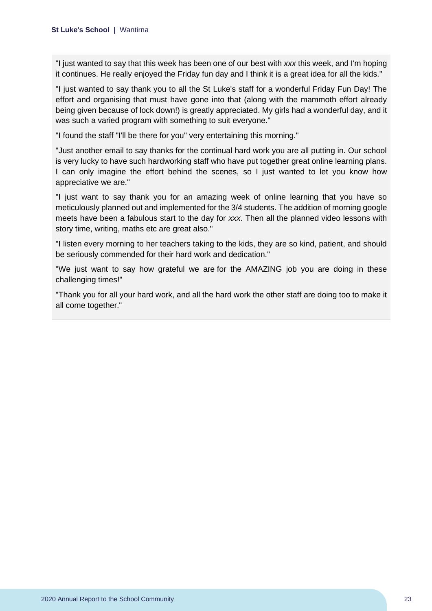"I just wanted to say that this week has been one of our best with *xxx* this week, and I'm hoping it continues. He really enjoyed the Friday fun day and I think it is a great idea for all the kids."

"I just wanted to say thank you to all the St Luke's staff for a wonderful Friday Fun Day! The effort and organising that must have gone into that (along with the mammoth effort already being given because of lock down!) is greatly appreciated. My girls had a wonderful day, and it was such a varied program with something to suit everyone."

"I found the staff "I'll be there for you" very entertaining this morning."

"Just another email to say thanks for the continual hard work you are all putting in. Our school is very lucky to have such hardworking staff who have put together great online learning plans. I can only imagine the effort behind the scenes, so I just wanted to let you know how appreciative we are."

"I just want to say thank you for an amazing week of online learning that you have so meticulously planned out and implemented for the 3/4 students. The addition of morning google meets have been a fabulous start to the day for *xxx*. Then all the planned video lessons with story time, writing, maths etc are great also."

"I listen every morning to her teachers taking to the kids, they are so kind, patient, and should be seriously commended for their hard work and dedication."

"We just want to say how grateful we are for the AMAZING job you are doing in these challenging times!"

"Thank you for all your hard work, and all the hard work the other staff are doing too to make it all come together."